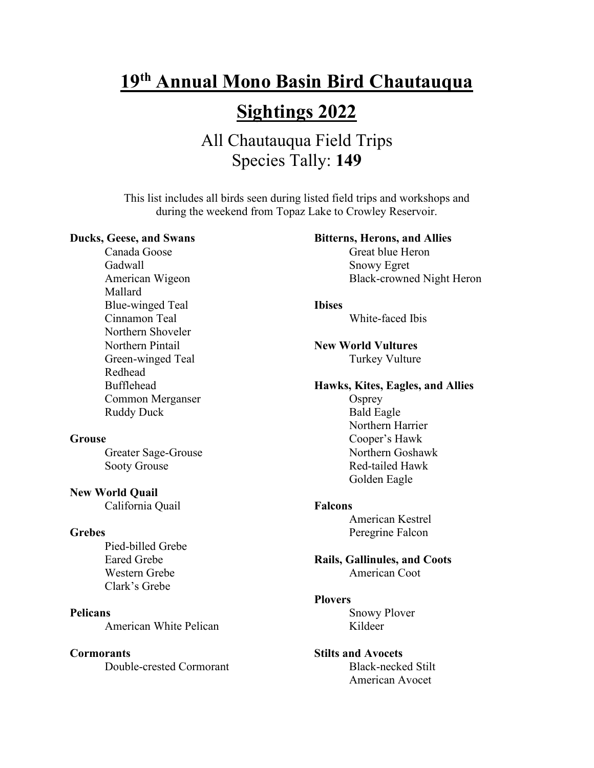# **19th Annual Mono Basin Bird Chautauqua**

## **Sightings 2022**

## All Chautauqua Field Trips Species Tally: **149**

This list includes all birds seen during listed field trips and workshops and during the weekend from Topaz Lake to Crowley Reservoir.

#### **Ducks, Geese, and Swans**

Canada Goose Gadwall American Wigeon Mallard Blue-winged Teal Cinnamon Teal Northern Shoveler Northern Pintail Green-winged Teal Redhead Bufflehead Common Merganser Ruddy Duck

#### **Grouse**

Greater Sage-Grouse Sooty Grouse

**New World Quail**

California Quail

#### **Grebes**

Pied-billed Grebe Eared Grebe Western Grebe Clark's Grebe

**Pelicans** American White Pelican

#### **Cormorants**

Double-crested Cormorant

**Bitterns, Herons, and Allies** Great blue Heron Snowy Egret Black-crowned Night Heron **Ibises** White-faced Ibis **New World Vultures** Turkey Vulture **Hawks, Kites, Eagles, and Allies Osprey** Bald Eagle Northern Harrier Cooper's Hawk Northern Goshawk Red-tailed Hawk Golden Eagle **Falcons**  American Kestrel Peregrine Falcon **Rails, Gallinules, and Coots**  American Coot **Plovers**

> Snowy Plover Kildeer

**Stilts and Avocets** Black-necked Stilt American Avocet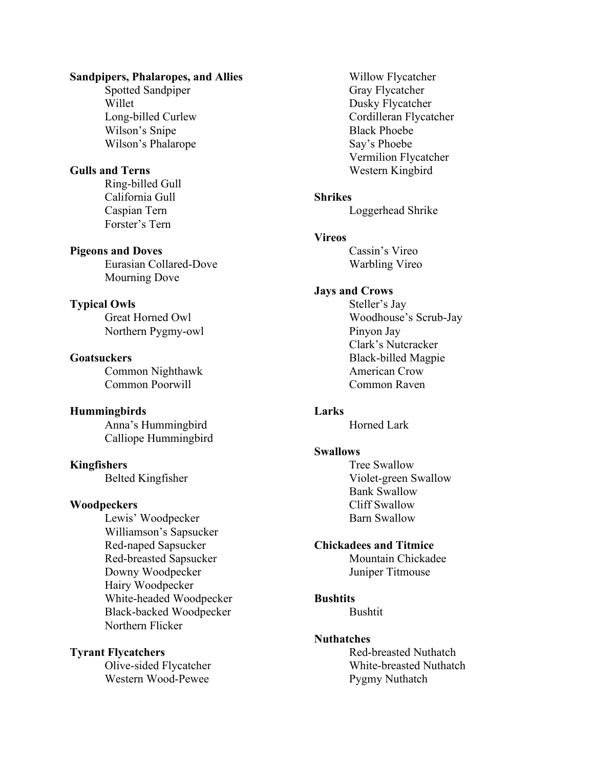## **Sandpipers, Phalaropes, and Allies**

Spotted Sandpiper Willet Long-billed Curlew Wilson's Snipe Wilson's Phalarope

## **Gulls and Terns**

Ring-billed Gull California Gull Caspian Tern Forster's Tern

#### **Pigeons and Doves**

Eurasian Collared-Dove Mourning Dove

#### **Typical Owls**

Great Horned Owl Northern Pygmy-owl

## **Goatsuckers**

Common Nighthawk Common Poorwill

#### **Hummingbirds**

Anna's Hummingbird Calliope Hummingbird

#### **Kingfishers**

Belted Kingfisher

#### **Woodpeckers**

Lewis' Woodpecker Williamson's Sapsucker Red-naped Sapsucker Red-breasted Sapsucker Downy Woodpecker Hairy Woodpecker White-headed Woodpecker Black-backed Woodpecker Northern Flicker

## **Tyrant Flycatchers**

Olive-sided Flycatcher Western Wood-Pewee

Willow Flycatcher Gray Flycatcher Dusky Flycatcher Cordilleran Flycatcher Black Phoebe Say's Phoebe Vermilion Flycatcher Western Kingbird

#### **Shrikes**

Loggerhead Shrike

#### **Vireos**

Cassin's Vireo Warbling Vireo

#### **Jays and Crows**

Steller's Jay Woodhouse's Scrub-Jay Pinyon Jay Clark's Nutcracker Black-billed Magpie American Crow Common Raven

#### **Larks**

Horned Lark

#### **Swallows**

Tree Swallow Violet-green Swallow Bank Swallow Cliff Swallow Barn Swallow

#### **Chickadees and Titmice**

Mountain Chickadee Juniper Titmouse

#### **Bushtits**

Bushtit

#### **Nuthatches**

Red-breasted Nuthatch White-breasted Nuthatch Pygmy Nuthatch